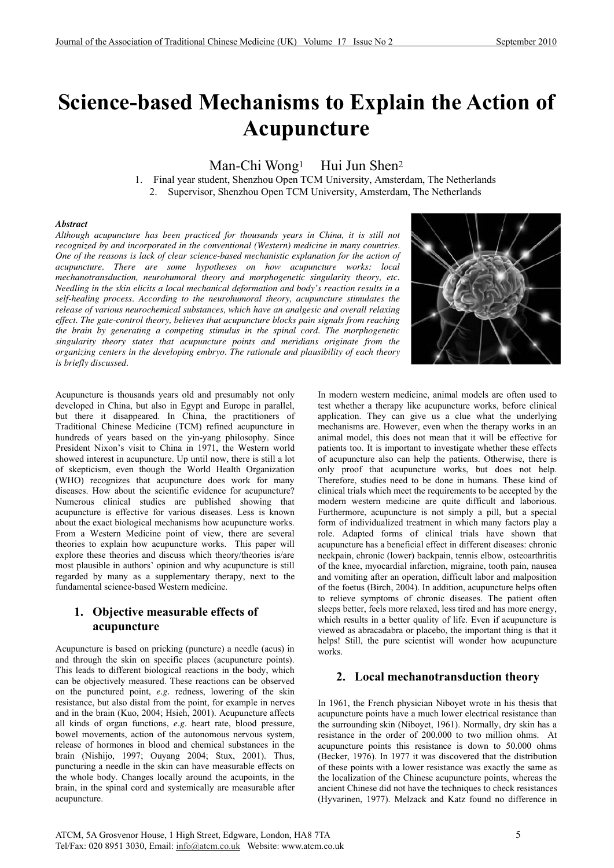# **Science-based Mechanisms to Explain the Action of Acupuncture**

Man-Chi Wong<sup>1</sup> Hui Jun Shen<sup>2</sup>

1. Final year student, Shenzhou Open TCM University, Amsterdam, The Netherlands 2. Supervisor, Shenzhou Open TCM University, Amsterdam, The Netherlands

#### *Abstract*

*Although acupuncture has been practiced for thousands years in China, it is still not recognized by and incorporated in the conventional (Western) medicine in many countries. One of the reasons is lack of clear science-based mechanistic explanation for the action of acupuncture. There are some hypotheses on how acupuncture works: local mechanotransduction, neurohumoral theory and morphogenetic singularity theory, etc. Needling in the skin elicits a local mechanical deformation and body's reaction results in a self-healing process. According to the neurohumoral theory, acupuncture stimulates the release of various neurochemical substances, which have an analgesic and overall relaxing effect. The gate-control theory, believes that acupuncture blocks pain signals from reaching the brain by generating a competing stimulus in the spinal cord. The morphogenetic singularity theory states that acupuncture points and meridians originate from the organizing centers in the developing embryo. The rationale and plausibility of each theory is briefly discussed.* 



Acupuncture is thousands years old and presumably not only developed in China, but also in Egypt and Europe in parallel, but there it disappeared. In China, the practitioners of Traditional Chinese Medicine (TCM) refined acupuncture in hundreds of years based on the yin-yang philosophy. Since President Nixon's visit to China in 1971, the Western world showed interest in acupuncture. Up until now, there is still a lot of skepticism, even though the World Health Organization (WHO) recognizes that acupuncture does work for many diseases. How about the scientific evidence for acupuncture? Numerous clinical studies are published showing that acupuncture is effective for various diseases. Less is known about the exact biological mechanisms how acupuncture works. From a Western Medicine point of view, there are several theories to explain how acupuncture works. This paper will explore these theories and discuss which theory/theories is/are most plausible in authors' opinion and why acupuncture is still regarded by many as a supplementary therapy, next to the fundamental science-based Western medicine.

# **1. Objective measurable effects of acupuncture**

Acupuncture is based on pricking (puncture) a needle (acus) in and through the skin on specific places (acupuncture points). This leads to different biological reactions in the body, which can be objectively measured. These reactions can be observed on the punctured point, *e.g.* redness, lowering of the skin resistance, but also distal from the point, for example in nerves and in the brain (Kuo, 2004; Hsieh, 2001). Acupuncture affects all kinds of organ functions, *e.g.* heart rate, blood pressure, bowel movements, action of the autonomous nervous system, release of hormones in blood and chemical substances in the brain (Nishijo, 1997; Ouyang 2004; Stux, 2001). Thus, puncturing a needle in the skin can have measurable effects on the whole body. Changes locally around the acupoints, in the brain, in the spinal cord and systemically are measurable after acupuncture.

In modern western medicine, animal models are often used to test whether a therapy like acupuncture works, before clinical application. They can give us a clue what the underlying mechanisms are. However, even when the therapy works in an animal model, this does not mean that it will be effective for patients too. It is important to investigate whether these effects of acupuncture also can help the patients. Otherwise, there is only proof that acupuncture works, but does not help. Therefore, studies need to be done in humans. These kind of clinical trials which meet the requirements to be accepted by the modern western medicine are quite difficult and laborious. Furthermore, acupuncture is not simply a pill, but a special form of individualized treatment in which many factors play a role. Adapted forms of clinical trials have shown that acupuncture has a beneficial effect in different diseases: chronic neckpain, chronic (lower) backpain, tennis elbow, osteoarthritis of the knee, myocardial infarction, migraine, tooth pain, nausea and vomiting after an operation, difficult labor and malposition of the foetus (Birch, 2004). In addition, acupuncture helps often to relieve symptoms of chronic diseases. The patient often sleeps better, feels more relaxed, less tired and has more energy, which results in a better quality of life. Even if acupuncture is viewed as abracadabra or placebo, the important thing is that it helps! Still, the pure scientist will wonder how acupuncture works.

# **2. Local mechanotransduction theory**

In 1961, the French physician Niboyet wrote in his thesis that acupuncture points have a much lower electrical resistance than the surrounding skin (Niboyet, 1961). Normally, dry skin has a resistance in the order of 200.000 to two million ohms. At acupuncture points this resistance is down to 50.000 ohms (Becker, 1976). In 1977 it was discovered that the distribution of these points with a lower resistance was exactly the same as the localization of the Chinese acupuncture points, whereas the ancient Chinese did not have the techniques to check resistances (Hyvarinen, 1977). Melzack and Katz found no difference in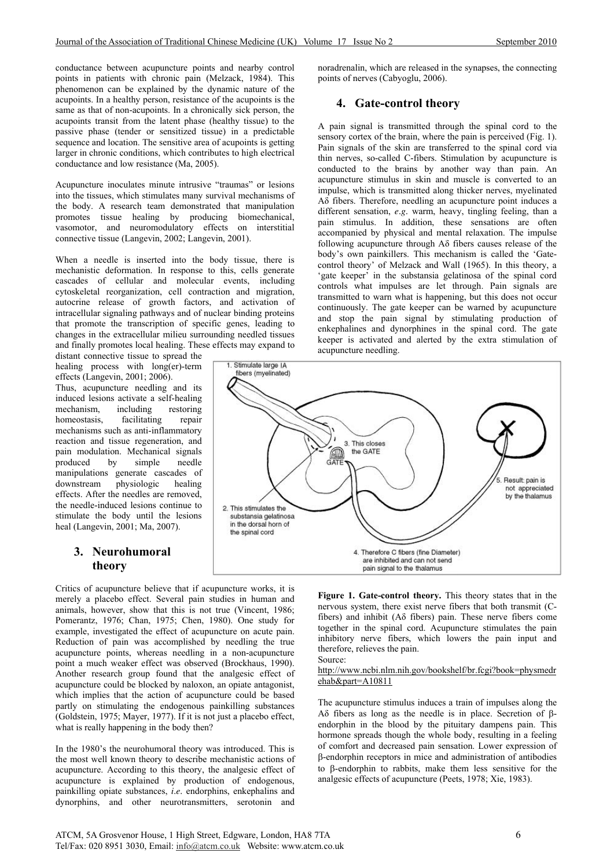conductance between acupuncture points and nearby control points in patients with chronic pain (Melzack, 1984). This phenomenon can be explained by the dynamic nature of the acupoints. In a healthy person, resistance of the acupoints is the same as that of non-acupoints. In a chronically sick person, the acupoints transit from the latent phase (healthy tissue) to the passive phase (tender or sensitized tissue) in a predictable sequence and location. The sensitive area of acupoints is getting larger in chronic conditions, which contributes to high electrical conductance and low resistance (Ma, 2005).

Acupuncture inoculates minute intrusive "traumas" or lesions into the tissues, which stimulates many survival mechanisms of the body. A research team demonstrated that manipulation promotes tissue healing by producing biomechanical, vasomotor, and neuromodulatory effects on interstitial connective tissue (Langevin, 2002; Langevin, 2001).

When a needle is inserted into the body tissue, there is mechanistic deformation. In response to this, cells generate cascades of cellular and molecular events, including cytoskeletal reorganization, cell contraction and migration, autocrine release of growth factors, and activation of intracellular signaling pathways and of nuclear binding proteins that promote the transcription of specific genes, leading to changes in the extracellular milieu surrounding needled tissues and finally promotes local healing. These effects may expand to

distant connective tissue to spread the healing process with long(er)-term effects (Langevin, 2001; 2006). Thus, acupuncture needling and its induced lesions activate a self-healing<br>mechanism, including restoring mechanism, including homeostasis, facilitating repair mechanisms such as anti-inflammatory reaction and tissue regeneration, and pain modulation. Mechanical signals produced by simple needle manipulations generate cascades of downstream physiologic healing effects. After the needles are removed, the needle-induced lesions continue to

# **3. Neurohumoral theory**

stimulate the body until the lesions heal (Langevin, 2001; Ma, 2007).

Critics of acupuncture believe that if acupuncture works, it is merely a placebo effect. Several pain studies in human and animals, however, show that this is not true (Vincent, 1986; Pomerantz, 1976; Chan, 1975; Chen, 1980). One study for example, investigated the effect of acupuncture on acute pain. Reduction of pain was accomplished by needling the true acupuncture points, whereas needling in a non-acupuncture point a much weaker effect was observed (Brockhaus, 1990). Another research group found that the analgesic effect of acupuncture could be blocked by naloxon, an opiate antagonist, which implies that the action of acupuncture could be based partly on stimulating the endogenous painkilling substances (Goldstein, 1975; Mayer, 1977). If it is not just a placebo effect, what is really happening in the body then?

In the 1980's the neurohumoral theory was introduced. This is the most well known theory to describe mechanistic actions of acupuncture. According to this theory, the analgesic effect of acupuncture is explained by production of endogenous, painkilling opiate substances, *i.e.* endorphins, enkephalins and dynorphins, and other neurotransmitters, serotonin and

noradrenalin, which are released in the synapses, the connecting points of nerves (Cabyoglu, 2006).

# **4. Gate-control theory**

A pain signal is transmitted through the spinal cord to the sensory cortex of the brain, where the pain is perceived (Fig. 1). Pain signals of the skin are transferred to the spinal cord via thin nerves, so-called C-fibers. Stimulation by acupuncture is conducted to the brains by another way than pain. An acupuncture stimulus in skin and muscle is converted to an impulse, which is transmitted along thicker nerves, myelinated A $\delta$  fibers. Therefore, needling an acupuncture point induces a different sensation, *e.g.* warm, heavy, tingling feeling, than a pain stimulus. In addition, these sensations are often accompanied by physical and mental relaxation. The impulse following acupuncture through  $A\delta$  fibers causes release of the body's own painkillers. This mechanism is called the 'Gatecontrol theory' of Melzack and Wall (1965). In this theory, a 'gate keeper' in the substansia gelatinosa of the spinal cord controls what impulses are let through. Pain signals are transmitted to warn what is happening, but this does not occur continuously. The gate keeper can be warned by acupuncture and stop the pain signal by stimulating production of enkephalines and dynorphines in the spinal cord. The gate keeper is activated and alerted by the extra stimulation of acupuncture needling.



**Figure 1. Gate-control theory.** This theory states that in the nervous system, there exist nerve fibers that both transmit (Cfibers) and inhibit ( $A\delta$  fibers) pain. These nerve fibers come together in the spinal cord. Acupuncture stimulates the pain inhibitory nerve fibers, which lowers the pain input and therefore, relieves the pain.

Source:

http://www.ncbi.nlm.nih.gov/bookshelf/br.fcgi?book=physmedr ehab&part=A10811

The acupuncture stimulus induces a train of impulses along the A $\delta$  fibers as long as the needle is in place. Secretion of  $\beta$ endorphin in the blood by the pituitary dampens pain. This hormone spreads though the whole body, resulting in a feeling of comfort and decreased pain sensation. Lower expression of E-endorphin receptors in mice and administration of antibodies to E-endorphin to rabbits, make them less sensitive for the analgesic effects of acupuncture (Peets, 1978; Xie, 1983).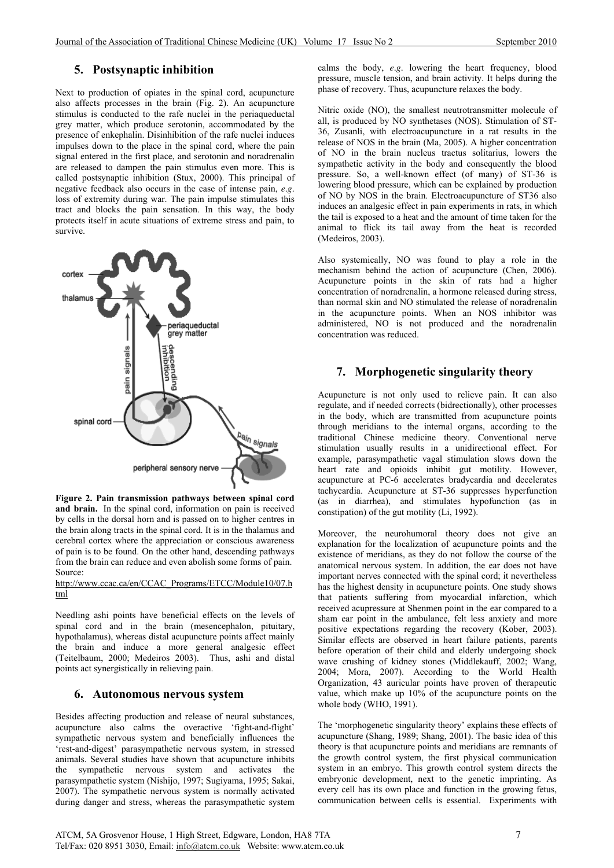## **5. Postsynaptic inhibition**

Next to production of opiates in the spinal cord, acupuncture also affects processes in the brain (Fig. 2). An acupuncture stimulus is conducted to the rafe nuclei in the periaqueductal grey matter, which produce serotonin, accommodated by the presence of enkephalin. Disinhibition of the rafe nuclei induces impulses down to the place in the spinal cord, where the pain signal entered in the first place, and serotonin and noradrenalin are released to dampen the pain stimulus even more. This is called postsynaptic inhibition (Stux, 2000). This principal of negative feedback also occurs in the case of intense pain, *e.g.* loss of extremity during war. The pain impulse stimulates this tract and blocks the pain sensation. In this way, the body protects itself in acute situations of extreme stress and pain, to survive.



**Figure 2. Pain transmission pathways between spinal cord and brain.** In the spinal cord, information on pain is received by cells in the dorsal horn and is passed on to higher centres in the brain along tracts in the spinal cord. It is in the thalamus and cerebral cortex where the appreciation or conscious awareness of pain is to be found. On the other hand, descending pathways from the brain can reduce and even abolish some forms of pain. Source:

#### http://www.ccac.ca/en/CCAC\_Programs/ETCC/Module10/07.h tml

Needling ashi points have beneficial effects on the levels of spinal cord and in the brain (mesencephalon, pituitary, hypothalamus), whereas distal acupuncture points affect mainly the brain and induce a more general analgesic effect (Teitelbaum, 2000; Medeiros 2003). Thus, ashi and distal points act synergistically in relieving pain.

## **6. Autonomous nervous system**

Besides affecting production and release of neural substances, acupuncture also calms the overactive 'fight-and-flight' sympathetic nervous system and beneficially influences the 'rest-and-digest' parasympathetic nervous system, in stressed animals. Several studies have shown that acupuncture inhibits the sympathetic nervous system and activates the parasympathetic system (Nishijo, 1997; Sugiyama, 1995; Sakai, 2007). The sympathetic nervous system is normally activated during danger and stress, whereas the parasympathetic system calms the body, *e.g.* lowering the heart frequency, blood pressure, muscle tension, and brain activity. It helps during the phase of recovery. Thus, acupuncture relaxes the body.

Nitric oxide (NO), the smallest neutrotransmitter molecule of all, is produced by NO synthetases (NOS). Stimulation of ST-36, Zusanli, with electroacupuncture in a rat results in the release of NOS in the brain (Ma, 2005). A higher concentration of NO in the brain nucleus tractus solitarius, lowers the sympathetic activity in the body and consequently the blood pressure. So, a well-known effect (of many) of ST-36 is lowering blood pressure, which can be explained by production of NO by NOS in the brain. Electroacupuncture of ST36 also induces an analgesic effect in pain experiments in rats, in which the tail is exposed to a heat and the amount of time taken for the animal to flick its tail away from the heat is recorded (Medeiros, 2003).

Also systemically, NO was found to play a role in the mechanism behind the action of acupuncture (Chen, 2006). Acupuncture points in the skin of rats had a higher concentration of noradrenalin, a hormone released during stress, than normal skin and NO stimulated the release of noradrenalin in the acupuncture points. When an NOS inhibitor was administered, NO is not produced and the noradrenalin concentration was reduced.

# **7. Morphogenetic singularity theory**

Acupuncture is not only used to relieve pain. It can also regulate, and if needed corrects (bidrectionally), other processes in the body, which are transmitted from acupuncture points through meridians to the internal organs, according to the traditional Chinese medicine theory. Conventional nerve stimulation usually results in a unidirectional effect. For example, parasympathetic vagal stimulation slows down the heart rate and opioids inhibit gut motility. However, acupuncture at PC-6 accelerates bradycardia and decelerates tachycardia. Acupuncture at ST-36 suppresses hyperfunction (as in diarrhea), and stimulates hypofunction (as in constipation) of the gut motility (Li, 1992).

Moreover, the neurohumoral theory does not give an explanation for the localization of acupuncture points and the existence of meridians, as they do not follow the course of the anatomical nervous system. In addition, the ear does not have important nerves connected with the spinal cord; it nevertheless has the highest density in acupuncture points. One study shows that patients suffering from myocardial infarction, which received acupressure at Shenmen point in the ear compared to a sham ear point in the ambulance, felt less anxiety and more positive expectations regarding the recovery (Kober, 2003). Similar effects are observed in heart failure patients, parents before operation of their child and elderly undergoing shock wave crushing of kidney stones (Middlekauff, 2002; Wang, 2004; Mora, 2007). According to the World Health Organization, 43 auricular points have proven of therapeutic value, which make up 10% of the acupuncture points on the whole body (WHO,  $1991$ ).

The 'morphogenetic singularity theory' explains these effects of acupuncture (Shang, 1989; Shang, 2001). The basic idea of this theory is that acupuncture points and meridians are remnants of the growth control system, the first physical communication system in an embryo. This growth control system directs the embryonic development, next to the genetic imprinting. As every cell has its own place and function in the growing fetus, communication between cells is essential. Experiments with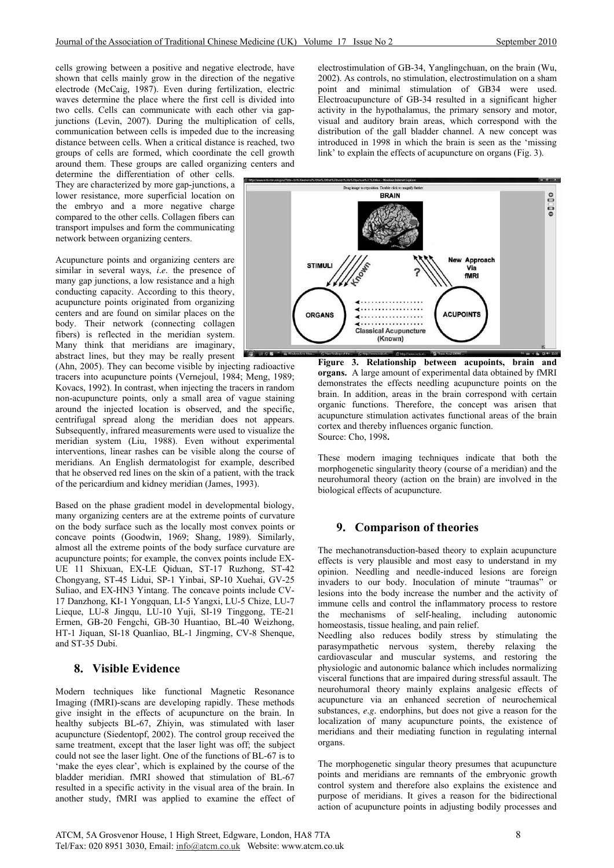cells growing between a positive and negative electrode, have shown that cells mainly grow in the direction of the negative electrode (McCaig, 1987). Even during fertilization, electric waves determine the place where the first cell is divided into two cells. Cells can communicate with each other via gapjunctions (Levin, 2007). During the multiplication of cells, communication between cells is impeded due to the increasing distance between cells. When a critical distance is reached, two groups of cells are formed, which coordinate the cell growth around them. These groups are called organizing centers and

determine the differentiation of other cells. They are characterized by more gap-junctions, a lower resistance, more superficial location on the embryo and a more negative charge compared to the other cells. Collagen fibers can transport impulses and form the communicating network between organizing centers.

Acupuncture points and organizing centers are similar in several ways, *i.e.* the presence of many gap junctions, a low resistance and a high conducting capacity. According to this theory, acupuncture points originated from organizing centers and are found on similar places on the body. Their network (connecting collagen fibers) is reflected in the meridian system. Many think that meridians are imaginary, abstract lines, but they may be really present

(Ahn, 2005). They can become visible by injecting radioactive tracers into acupuncture points (Vernejoul, 1984; Meng, 1989; Kovacs, 1992). In contrast, when injecting the tracers in random non-acupuncture points, only a small area of vague staining around the injected location is observed, and the specific, centrifugal spread along the meridian does not appears. Subsequently, infrared measurements were used to visualize the meridian system (Liu, 1988). Even without experimental interventions, linear rashes can be visible along the course of meridians. An English dermatologist for example, described that he observed red lines on the skin of a patient, with the track of the pericardium and kidney meridian (James, 1993).

Based on the phase gradient model in developmental biology, many organizing centers are at the extreme points of curvature on the body surface such as the locally most convex points or concave points (Goodwin, 1969; Shang, 1989). Similarly, almost all the extreme points of the body surface curvature are acupuncture points; for example, the convex points include EX-UE 11 Shixuan, EX-LE Qiduan, ST-17 Ruzhong, ST-42 Chongyang, ST-45 Lidui, SP-1 Yinbai, SP-10 Xuehai, GV-25 Suliao, and EX-HN3 Yintang. The concave points include CV-17 Danzhong, KI-1 Yongquan, LI-5 Yangxi, LU-5 Chize, LU-7 Lieque, LU-8 Jingqu, LU-10 Yuji, SI-19 Tinggong, TE-21 Ermen, GB-20 Fengchi, GB-30 Huantiao, BL-40 Weizhong, HT-1 Jiquan, SI-18 Quanliao, BL-1 Jingming, CV-8 Shenque, and ST-35 Dubi.

## **8. Visible Evidence**

Modern techniques like functional Magnetic Resonance Imaging (fMRI)-scans are developing rapidly. These methods give insight in the effects of acupuncture on the brain. In healthy subjects BL-67, Zhiyin, was stimulated with laser acupuncture (Siedentopf, 2002). The control group received the same treatment, except that the laser light was off; the subject could not see the laser light. One of the functions of BL-67 is to 'make the eyes clear', which is explained by the course of the bladder meridian. fMRI showed that stimulation of BL-67 resulted in a specific activity in the visual area of the brain. In another study, fMRI was applied to examine the effect of electrostimulation of GB-34, Yanglingchuan, on the brain (Wu, 2002). As controls, no stimulation, electrostimulation on a sham point and minimal stimulation of GB34 were used. Electroacupuncture of GB-34 resulted in a significant higher activity in the hypothalamus, the primary sensory and motor, visual and auditory brain areas, which correspond with the distribution of the gall bladder channel. A new concept was introduced in 1998 in which the brain is seen as the 'missing link' to explain the effects of acupuncture on organs (Fig. 3).



**Figure 3. Relationship between acupoints, brain and organs.** A large amount of experimental data obtained by fMRI demonstrates the effects needling acupuncture points on the brain. In addition, areas in the brain correspond with certain organic functions. Therefore, the concept was arisen that acupuncture stimulation activates functional areas of the brain cortex and thereby influences organic function. Source: Cho, 1998**.** 

These modern imaging techniques indicate that both the morphogenetic singularity theory (course of a meridian) and the neurohumoral theory (action on the brain) are involved in the biological effects of acupuncture.

## **9. Comparison of theories**

The mechanotransduction-based theory to explain acupuncture effects is very plausible and most easy to understand in my opinion. Needling and needle-induced lesions are foreign invaders to our body. Inoculation of minute "traumas" or lesions into the body increase the number and the activity of immune cells and control the inflammatory process to restore the mechanisms of self-healing, including autonomic homeostasis, tissue healing, and pain relief.

Needling also reduces bodily stress by stimulating the parasympathetic nervous system, thereby relaxing the cardiovascular and muscular systems, and restoring the physiologic and autonomic balance which includes normalizing visceral functions that are impaired during stressful assault. The neurohumoral theory mainly explains analgesic effects of acupuncture via an enhanced secretion of neurochemical substances, *e.g.* endorphins, but does not give a reason for the localization of many acupuncture points, the existence of meridians and their mediating function in regulating internal organs.

The morphogenetic singular theory presumes that acupuncture points and meridians are remnants of the embryonic growth control system and therefore also explains the existence and purpose of meridians. It gives a reason for the bidirectional action of acupuncture points in adjusting bodily processes and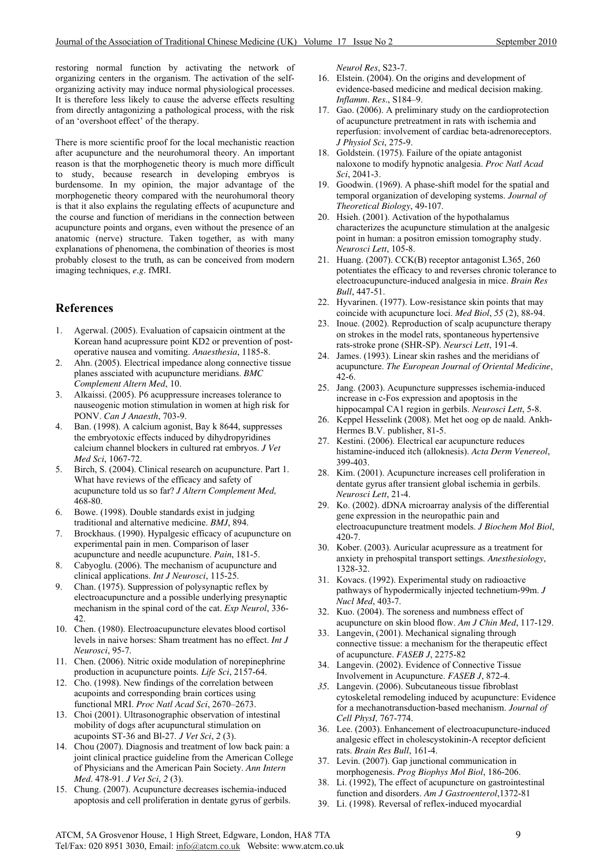restoring normal function by activating the network of organizing centers in the organism. The activation of the selforganizing activity may induce normal physiological processes. It is therefore less likely to cause the adverse effects resulting from directly antagonizing a pathological process, with the risk of an 'overshoot effect' of the therapy.

There is more scientific proof for the local mechanistic reaction after acupuncture and the neurohumoral theory. An important reason is that the morphogenetic theory is much more difficult to study, because research in developing embryos is burdensome. In my opinion, the major advantage of the morphogenetic theory compared with the neurohumoral theory is that it also explains the regulating effects of acupuncture and the course and function of meridians in the connection between acupuncture points and organs, even without the presence of an anatomic (nerve) structure. Taken together, as with many explanations of phenomena, the combination of theories is most probably closest to the truth, as can be conceived from modern imaging techniques, *e.g.* fMRI.

# **References**

- 1. Agerwal. (2005). Evaluation of capsaicin ointment at the Korean hand acupressure point KD2 or prevention of postoperative nausea and vomiting. *Anaesthesia*, 1185-8.
- 2. Ahn. (2005). Electrical impedance along connective tissue planes assciated with acupuncture meridians. *BMC Complement Altern Med*, 10.
- 3. Alkaissi. (2005). P6 acuppressure increases tolerance to nauseogenic motion stimulation in women at high risk for PONV. *Can J Anaesth*, 703-9.
- 4. Ban. (1998). A calcium agonist, Bay k 8644, suppresses *t*  calcium channel blockers in cultured rat embryos. *J Ve* the embryotoxic effects induced by dihydropyridines *Med Sci*, 1067-72.
- 5. Birch, S. (2004). Clinical research on acupuncture. Part 1.  *Med,* acupuncture told us so far? *J Altern Complement* What have reviews of the efficacy and safety of 468-80.
- 6. Bowe. (1998). Double standards exist in judging traditional and alternative medicine. *BMJ*, 894.
- 7. Brockhaus. (1990). Hypalgesic efficacy of acupuncture on 5. acupuncture and needle acupuncture. *Pain*, 181 experimental pain in men. Comparison of laser
- 8. Cabyoglu. (2006). The mechanism of acupuncture and clinical applications. *Int J Neurosci*, 115-25.
- 9. Chan. (1975). Suppression of polysynaptic reflex by electroacupuncture and a possible underlying presynaptic mechanism in the spinal cord of the cat. *Exp Neurol*, 336- 42.
- 10. Chen. (1980). Electroacupuncture elevates blood cortisol levels in naive horses: Sham treatment has no effect. *Int J Neurosci*, 95-7.
- 11. Chen. (2006). Nitric oxide modulation of norepinephrine production in acupuncture points. *Life Sci*, 2157-64.
- 12. Cho. (1998). New findings of the correlation between acupoints and corresponding brain cortices using functional MRI. *Proc Natl Acad Sci*, 2670–2673.
- 13. Choi (2001). Ultrasonographic observation of intestinal mobility of dogs after acupunctural stimulation on acupoints ST-36 and Bl-27. *J Vet Sci*, *2* (3).
- 14. Chou (2007). Diagnosis and treatment of low back pain: a joint clinical practice guideline from the American College of Physicians and the American Pain Society. *Ann Intern Med*. 478-91. *J Vet Sci*, *2* (3).
- 15. Chung. (2007). Acupuncture decreases ischemia-induced apoptosis and cell proliferation in dentate gyrus of gerbils.

*Neurol Res*, S23-7.

- 16. Elstein. (2004). On the origins and development of evidence-based medicine and medical decision making. *Inflamm. Res.*, S184–9.
- 17. Gao. (2006). A preliminary study on the cardioprotection reperfusion: involvement of cardiac beta-adrenoreceptors. of acupuncture pretreatment in rats with ischemia and *J Physiol Sci*, 275-9.
- 18. Goldstein. (1975). Failure of the opiate antagonist naloxone to modify hypnotic analgesia. *Proc Natl Acad Sci*, 2041-3.
- 19. Goodwin. (1969). A phase-shift model for the spatial and temporal organization of developing systems. *Journal of Theoretical Biology*, 49-107.
- 20. Hsieh. (2001). Activation of the hypothalamus characterizes the acupuncture stimulation at the analgesic point in human: a positron emission tomography study. *Neurosci Lett*, 105-8.
- 21. Huang.  $(2007)$ . CCK $(B)$  receptor antagonist L365, 260 potentiates the efficacy to and reverses chronic tolerance to electroacupuncture-induced analgesia in mice. *Brain Res Bull*, 447-51.
- 22. Hyvarinen. (1977). Low-resistance skin points that may coincide with acupuncture loci. *Med Biol*, *55* (2), 88-94.
- 23. Inoue. (2002). Reproduction of scalp acupuncture therapy on strokes in the model rats, spontaneous hypertensive rats-stroke prone (SHR-SP). *Neursci Lett*, 191-4.
- 24. James. (1993). Linear skin rashes and the meridians of acupuncture. The European Journal of Oriental Medicine, 42-6.
- 25. Jang. (2003). Acupuncture suppresses ischemia-induced hippocampal CA1 region in gerbils. *Neurosci Lett*, 5-8. increase in c-Fos expression and apoptosis in the
- 26. Keppel Hesselink (2008). Met het oog op de naald. Ankh-Hermes B.V. publisher, 81-5.
- 27. Kestini. (2006). Electrical ear acupuncture reduces histamine-induced itch (alloknesis). Acta Derm Venereol, 399-403.
- 28. Kim. (2001). Acupuncture increases cell proliferation in dentate gyrus after transient global ischemia in gerbils. *Neurosci Lett*, 21-4.
- 29. Ko. (2002). dDNA microarray analysis of the differential electroacupuncture treatment models. *J Biochem Mol Biol*, gene expression in the neuropathic pain and 420-7.
- 30. Kober. (2003). Auricular acupressure as a treatment for anxiety in prehospital transport settings. *Anesthesiology*, 1328-32.
- 31. Kovacs. (1992). Experimental study on radioactive pathways of hypodermically injected technetium-99m. J *Nucl Med*, 403-7.
- 32. Kuo. (2004). The soreness and numbness effect of acupuncture on skin blood flow. Am J Chin Med, 117-129.
- 33. Langevin, (2001). Mechanical signaling through connective tissue: a mechanism for the therapeutic effect of acupuncture. *FASEB J*, 2275-82
- 34. Langevin. (2002). Evidence of Connective Tissue Involvement in Acupuncture. *FASEB J*, 872-4.
- 35. Langevin. (2006). Subcutaneous tissue fibroblast cytoskeletal remodeling induced by acupuncture: Evidence for a mechanotransduction-based mechanism. *Journal of Cell PhysI,* 767-774.
- 36. Lee. (2003). Enhancement of electroacupuncture-induced analgesic effect in cholescystokinin-A receptor deficient rats. *Brain Res Bull*, 161-4.
- 37. Levin. (2007). Gap junctional communication in morphogenesis. *Prog Biophys Mol Biol*, 186-206.
- 38. Li. (1992), The effect of acupuncture on gastrointestinal function and disorders. *Am J Gastroenterol*,1372-81
- 39. Li. (1998). Reversal of reflex-induced myocardial